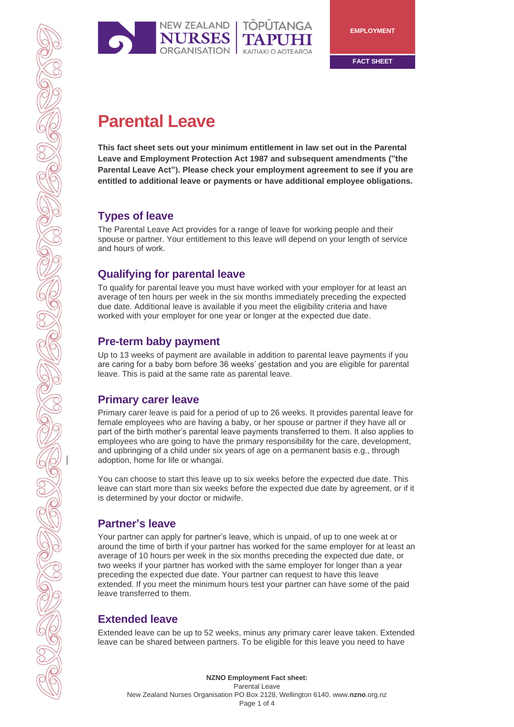

**FACT SHEET**

# **Parental Leave**

**This fact sheet sets out your minimum entitlement in law set out in the Parental Leave and Employment Protection Act 1987 and subsequent amendments ("the Parental Leave Act"). Please check your employment agreement to see if you are entitled to additional leave or payments or have additional employee obligations.**

# **Types of leave**

The Parental Leave Act provides for a range of leave for working people and their spouse or partner. Your entitlement to this leave will depend on your length of service and hours of work.

# **Qualifying for parental leave**

To qualify for parental leave you must have worked with your employer for at least an average of ten hours per week in the six months immediately preceding the expected due date. Additional leave is available if you meet the eligibility criteria and have worked with your employer for one year or longer at the expected due date.

# **Pre-term baby payment**

Up to 13 weeks of payment are available in addition to parental leave payments if you are caring for a baby born before 36 weeks' gestation and you are eligible for parental leave. This is paid at the same rate as parental leave.

## **Primary carer leave**

Primary carer leave is paid for a period of up to 26 weeks. It provides parental leave for female employees who are having a baby, or her spouse or partner if they have all or part of the birth mother's parental leave payments transferred to them. It also applies to employees who are going to have the primary responsibility for the care, development, and upbringing of a child under six years of age on a permanent basis e.g., through adoption, home for life or whangai.

You can choose to start this leave up to six weeks before the expected due date. This leave can start more than six weeks before the expected due date by agreement, or if it is determined by your doctor or midwife.

# **Partner's leave**

Your partner can apply for partner's leave, which is unpaid, of up to one week at or around the time of birth if your partner has worked for the same employer for at least an average of 10 hours per week in the six months preceding the expected due date, or two weeks if your partner has worked with the same employer for longer than a year preceding the expected due date. Your partner can request to have this leave extended. If you meet the minimum hours test your partner can have some of the paid leave transferred to them.

# **Extended leave**

Extended leave can be up to 52 weeks, minus any primary carer leave taken. Extended leave can be shared between partners. To be eligible for this leave you need to have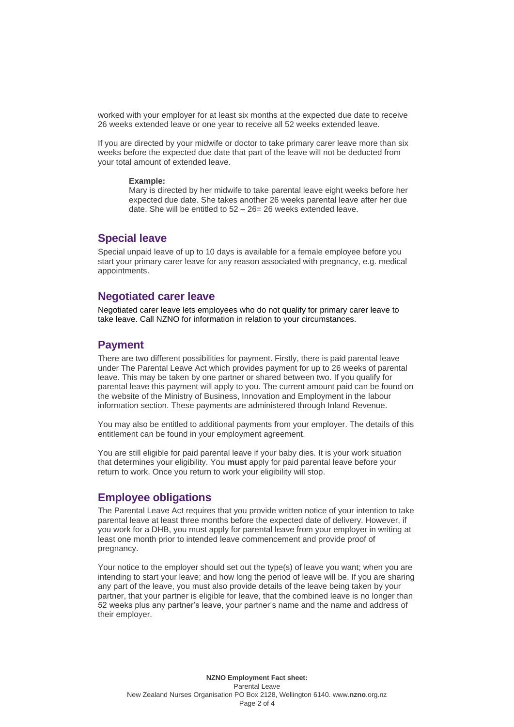worked with your employer for at least six months at the expected due date to receive 26 weeks extended leave or one year to receive all 52 weeks extended leave.

If you are directed by your midwife or doctor to take primary carer leave more than six weeks before the expected due date that part of the leave will not be deducted from your total amount of extended leave.

#### **Example:**

Mary is directed by her midwife to take parental leave eight weeks before her expected due date. She takes another 26 weeks parental leave after her due date. She will be entitled to  $52 - 26 = 26$  weeks extended leave.

### **Special leave**

Special unpaid leave of up to 10 days is available for a female employee before you start your primary carer leave for any reason associated with pregnancy, e.g. medical appointments.

#### **Negotiated carer leave**

Negotiated carer leave lets employees who do not qualify for primary carer leave to take leave. Call NZNO for information in relation to your circumstances.

#### **Payment**

There are two different possibilities for payment. Firstly, there is paid parental leave under The Parental Leave Act which provides payment for up to 26 weeks of parental leave. This may be taken by one partner or shared between two. If you qualify for parental leave this payment will apply to you. The current amount paid can be found on the website of the Ministry of Business, Innovation and Employment in the labour information section. These payments are administered through Inland Revenue.

You may also be entitled to additional payments from your employer. The details of this entitlement can be found in your employment agreement.

You are still eligible for paid parental leave if your baby dies. It is your work situation that determines your eligibility. You **must** apply for paid parental leave before your return to work. Once you return to work your eligibility will stop.

#### **Employee obligations**

The Parental Leave Act requires that you provide written notice of your intention to take parental leave at least three months before the expected date of delivery. However, if you work for a DHB, you must apply for parental leave from your employer in writing at least one month prior to intended leave commencement and provide proof of pregnancy.

Your notice to the employer should set out the type(s) of leave you want; when you are intending to start your leave; and how long the period of leave will be. If you are sharing any part of the leave, you must also provide details of the leave being taken by your partner, that your partner is eligible for leave, that the combined leave is no longer than 52 weeks plus any partner's leave, your partner's name and the name and address of their employer.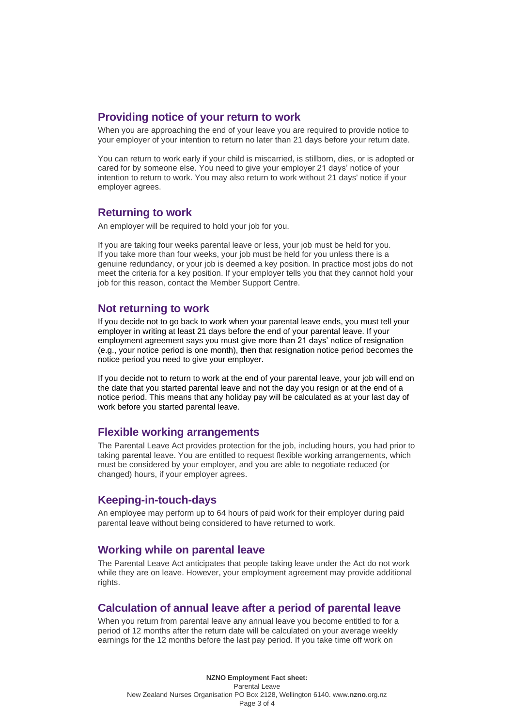### **Providing notice of your return to work**

When you are approaching the end of your leave you are required to provide notice to your employer of your intention to return no later than 21 days before your return date.

You can return to work early if your child is miscarried, is stillborn, dies, or is adopted or cared for by someone else. You need to give your employer 21 days' notice of your intention to return to work. You may also return to work without 21 days' notice if your employer agrees.

#### **Returning to work**

An employer will be required to hold your job for you.

If you are taking four weeks parental leave or less, your job must be held for you. If you take more than four weeks, your job must be held for you unless there is a genuine redundancy, or your job is deemed a key position. In practice most jobs do not meet the criteria for a key position. If your employer tells you that they cannot hold your job for this reason, contact the Member Support Centre.

### **Not returning to work**

If you decide not to go back to work when your parental leave ends, you must tell your employer in writing at least 21 days before the end of your parental leave. If your employment agreement says you must give more than 21 days' notice of resignation (e.g., your notice period is one month), then that resignation notice period becomes the notice period you need to give your employer.

If you decide not to return to work at the end of your parental leave, your job will end on the date that you started parental leave and not the day you resign or at the end of a notice period. This means that any holiday pay will be calculated as at your last day of work before you started parental leave.

#### **Flexible working arrangements**

The Parental Leave Act provides protection for the job, including hours, you had prior to taking parental leave. You are entitled to request flexible working arrangements, which must be considered by your employer, and you are able to negotiate reduced (or changed) hours, if your employer agrees.

### **Keeping-in-touch-days**

An employee may perform up to 64 hours of paid work for their employer during paid parental leave without being considered to have returned to work.

### **Working while on parental leave**

The Parental Leave Act anticipates that people taking leave under the Act do not work while they are on leave. However, your employment agreement may provide additional rights.

### **Calculation of annual leave after a period of parental leave**

When you return from parental leave any annual leave you become entitled to for a period of 12 months after the return date will be calculated on your average weekly earnings for the 12 months before the last pay period. If you take time off work on

**NZNO Employment Fact sheet:** Parental Leave New Zealand Nurses Organisation PO Box 2128, Wellington 6140. www.**nzno**[.org.nz](http://www.nzno.org.nz/) Page 3 of 4